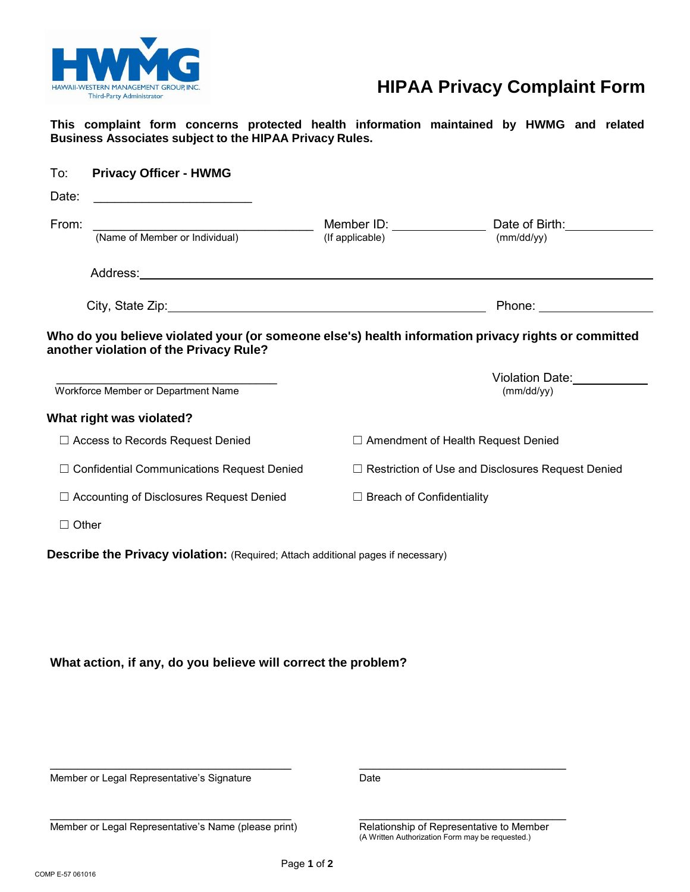

# **HIPAA Privacy Complaint Form**

**This complaint form concerns protected health information maintained by HWMG and related Business Associates subject to the HIPAA Privacy Rules.** 

| Date:                                                                                               |                                  |                                                          |
|-----------------------------------------------------------------------------------------------------|----------------------------------|----------------------------------------------------------|
| From:<br>(Name of Member or Individual)                                                             |                                  |                                                          |
|                                                                                                     | (If applicable)                  | (mm/dd/yy)                                               |
|                                                                                                     |                                  |                                                          |
|                                                                                                     |                                  | Phone: ____________________                              |
| Who do you believe violated your (or someone else's) health information privacy rights or committed |                                  |                                                          |
| another violation of the Privacy Rule?                                                              |                                  |                                                          |
|                                                                                                     |                                  | Violation Date:                                          |
| Workforce Member or Department Name                                                                 |                                  | (mm/dd/yy)                                               |
|                                                                                                     |                                  |                                                          |
|                                                                                                     |                                  |                                                          |
| What right was violated?<br>$\Box$ Access to Records Request Denied                                 |                                  | $\Box$ Amendment of Health Request Denied                |
| $\Box$ Confidential Communications Request Denied                                                   |                                  | $\Box$ Restriction of Use and Disclosures Request Denied |
| □ Accounting of Disclosures Request Denied                                                          | $\Box$ Breach of Confidentiality |                                                          |
| $\Box$ Other                                                                                        |                                  |                                                          |

## **What action, if any, do you believe will correct the problem?**

Member or Legal Representative's Signature **Date** Date

Member or Legal Representative's Name (please print) Relationship of Representative to Member<br>(A Written Authorization Form may be requested.)

 $\overline{\phantom{a}}$  , and the contribution of the contribution of the contribution of the contribution of the contribution of the contribution of the contribution of the contribution of the contribution of the contribution of the

 $\overline{\phantom{a}}$  , and the contribution of the contribution of the contribution of the contribution of the contribution of the contribution of the contribution of the contribution of the contribution of the contribution of the